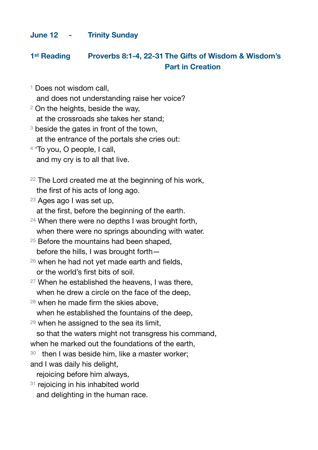## **June 12 - Trinity Sunday**

## **1st Reading Proverbs 8:1-4, 22-31 The Gifts of Wisdom & Wisdom's Part in Creation**

- <sup>1</sup> Does not wisdom call. and does not understanding raise her voice?
- <sup>2</sup> On the heights, beside the way, at the crossroads she takes her stand;
- <sup>3</sup> beside the gates in front of the town. at the entrance of the portals she cries out:
- <sup>4</sup> 'To you, O people, I call, and my cry is to all that live.
- $22$  The Lord created me at the beginning of his work, the first of his acts of long ago.
- <sup>23</sup> Ages ago I was set up, at the first, before the beginning of the earth.
- $24$  When there were no depths I was brought forth, when there were no springs abounding with water.
- <sup>25</sup> Before the mountains had been shaped, before the hills, I was brought forth—
- <sup>26</sup> when he had not yet made earth and fields, or the world's first bits of soil.
- $27$  When he established the heavens, I was there, when he drew a circle on the face of the deep,
- <sup>28</sup> when he made firm the skies above,
	- when he established the fountains of the deep,
- <sup>29</sup> when he assigned to the sea its limit,
- so that the waters might not transgress his command, when he marked out the foundations of the earth.
- $30$  then I was beside him, like a master worker; and I was daily his delight,
	- rejoicing before him always,
- <sup>31</sup> rejoicing in his inhabited world and delighting in the human race.